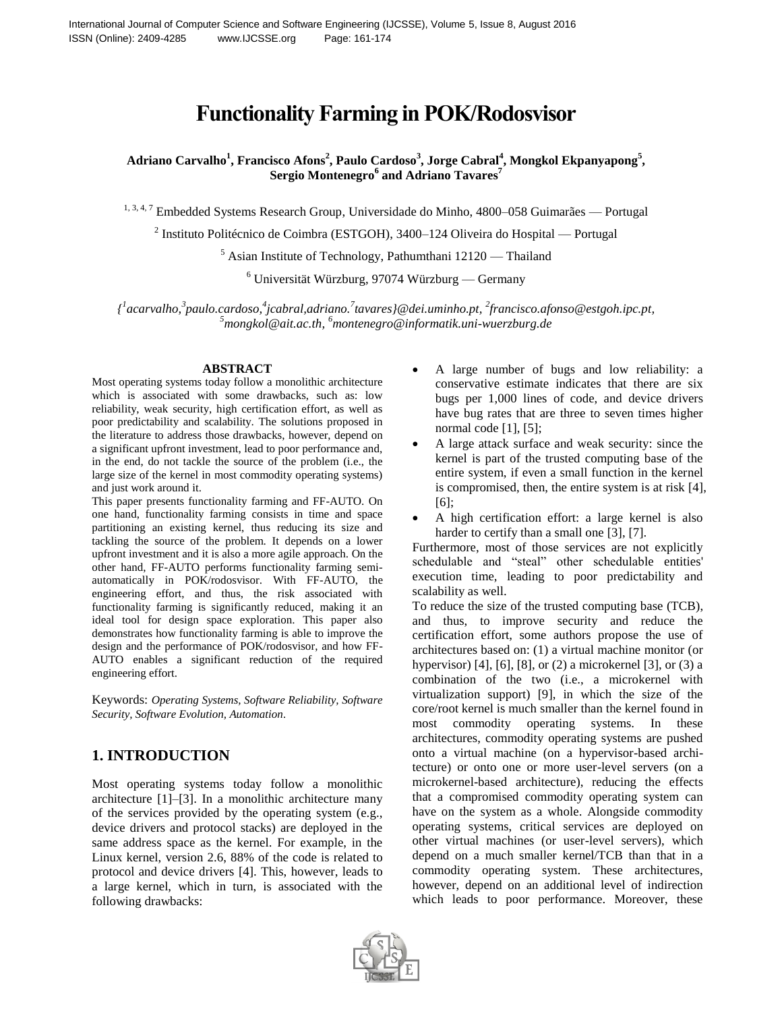# **Functionality Farming in POK/Rodosvisor**

**Adriano Carvalho<sup>1</sup> , Francisco Afons<sup>2</sup> , Paulo Cardoso<sup>3</sup> , Jorge Cabral<sup>4</sup> , Mongkol Ekpanyapong<sup>5</sup> , Sergio Montenegro<sup>6</sup> and Adriano Tavares<sup>7</sup>**

<sup>1, 3, 4, 7</sup> Embedded Systems Research Group, Universidade do Minho, 4800-058 Guimarães — Portugal

<sup>2</sup> Instituto Politécnico de Coimbra (ESTGOH), 3400–124 Oliveira do Hospital — Portugal

 $5$  Asian Institute of Technology, Pathumthani 12120 — Thailand

 $6$  Universität Würzburg, 97074 Würzburg — Germany

*{ 1 acarvalho,<sup>3</sup> paulo.cardoso,<sup>4</sup> jcabral,adriano.<sup>7</sup> tavares}@dei.uminho.pt, 2 francisco.afonso@estgoh.ipc.pt,*  <sup>5</sup>mongkol@ait.ac.th, <sup>6</sup>montenegro@informatik.uni-wuerzburg.de

#### **ABSTRACT**

Most operating systems today follow a monolithic architecture which is associated with some drawbacks, such as: low reliability, weak security, high certification effort, as well as poor predictability and scalability. The solutions proposed in the literature to address those drawbacks, however, depend on a significant upfront investment, lead to poor performance and, in the end, do not tackle the source of the problem (i.e., the large size of the kernel in most commodity operating systems) and just work around it.

This paper presents functionality farming and FF-AUTO. On one hand, functionality farming consists in time and space partitioning an existing kernel, thus reducing its size and tackling the source of the problem. It depends on a lower upfront investment and it is also a more agile approach. On the other hand, FF-AUTO performs functionality farming semiautomatically in POK/rodosvisor. With FF-AUTO, the engineering effort, and thus, the risk associated with functionality farming is significantly reduced, making it an ideal tool for design space exploration. This paper also demonstrates how functionality farming is able to improve the design and the performance of POK/rodosvisor, and how FF-AUTO enables a significant reduction of the required engineering effort.

Keywords: *Operating Systems, Software Reliability, Software Security, Software Evolution, Automation.*

# **1. INTRODUCTION**

Most operating systems today follow a monolithic architecture [1]–[3]. In a monolithic architecture many of the services provided by the operating system (e.g., device drivers and protocol stacks) are deployed in the same address space as the kernel. For example, in the Linux kernel, version 2.6, 88% of the code is related to protocol and device drivers [4]. This, however, leads to a large kernel, which in turn, is associated with the following drawbacks:

- A large number of bugs and low reliability: a conservative estimate indicates that there are six bugs per 1,000 lines of code, and device drivers have bug rates that are three to seven times higher normal code [1], [5];
- A large attack surface and weak security: since the kernel is part of the trusted computing base of the entire system, if even a small function in the kernel is compromised, then, the entire system is at risk [4], [6];
- A high certification effort: a large kernel is also harder to certify than a small one [3], [7].

Furthermore, most of those services are not explicitly schedulable and "steal" other schedulable entities' execution time, leading to poor predictability and scalability as well.

To reduce the size of the trusted computing base (TCB), and thus, to improve security and reduce the certification effort, some authors propose the use of architectures based on: (1) a virtual machine monitor (or hypervisor) [4], [6], [8], or (2) a microkernel [3], or (3) a combination of the two (i.e., a microkernel with virtualization support) [9], in which the size of the core/root kernel is much smaller than the kernel found in most commodity operating systems. In these architectures, commodity operating systems are pushed onto a virtual machine (on a hypervisor-based architecture) or onto one or more user-level servers (on a microkernel-based architecture), reducing the effects that a compromised commodity operating system can have on the system as a whole. Alongside commodity operating systems, critical services are deployed on other virtual machines (or user-level servers), which depend on a much smaller kernel/TCB than that in a commodity operating system. These architectures, however, depend on an additional level of indirection which leads to poor performance. Moreover, these

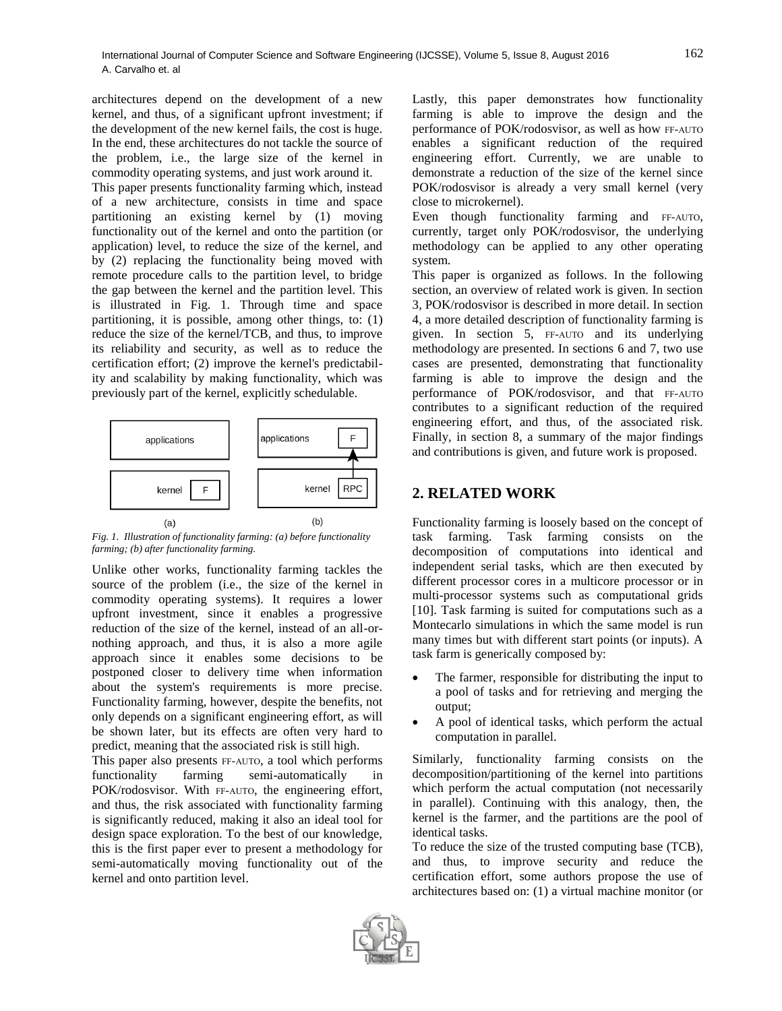architectures depend on the development of a new kernel, and thus, of a significant upfront investment; if the development of the new kernel fails, the cost is huge. In the end, these architectures do not tackle the source of the problem, i.e., the large size of the kernel in commodity operating systems, and just work around it.

This paper presents functionality farming which, instead of a new architecture, consists in time and space partitioning an existing kernel by (1) moving functionality out of the kernel and onto the partition (or application) level, to reduce the size of the kernel, and by (2) replacing the functionality being moved with remote procedure calls to the partition level, to bridge the gap between the kernel and the partition level. This is illustrated in Fig. 1. Through time and space partitioning, it is possible, among other things, to: (1) reduce the size of the kernel/TCB, and thus, to improve its reliability and security, as well as to reduce the certification effort; (2) improve the kernel's predictability and scalability by making functionality, which was previously part of the kernel, explicitly schedulable.



*Fig. 1. Illustration of functionality farming: (a) before functionality farming; (b) after functionality farming.*

Unlike other works, functionality farming tackles the source of the problem (i.e., the size of the kernel in commodity operating systems). It requires a lower upfront investment, since it enables a progressive reduction of the size of the kernel, instead of an all-ornothing approach, and thus, it is also a more agile approach since it enables some decisions to be postponed closer to delivery time when information about the system's requirements is more precise. Functionality farming, however, despite the benefits, not only depends on a significant engineering effort, as will be shown later, but its effects are often very hard to predict, meaning that the associated risk is still high. This paper also presents FF-AUTO, a tool which performs functionality farming semi-automatically in POK/rodosvisor. With FF-AUTO, the engineering effort, and thus, the risk associated with functionality farming

is significantly reduced, making it also an ideal tool for design space exploration. To the best of our knowledge, this is the first paper ever to present a methodology for semi-automatically moving functionality out of the kernel and onto partition level.

Lastly, this paper demonstrates how functionality farming is able to improve the design and the performance of POK/rodosvisor, as well as how FF-AUTO enables a significant reduction of the required engineering effort. Currently, we are unable to demonstrate a reduction of the size of the kernel since POK/rodosvisor is already a very small kernel (very close to microkernel).

Even though functionality farming and FF-AUTO, currently, target only POK/rodosvisor, the underlying methodology can be applied to any other operating system.

This paper is organized as follows. In the following section, an overview of related work is given. In section 3, POK/rodosvisor is described in more detail. In section 4, a more detailed description of functionality farming is given. In section 5, FF-AUTO and its underlying methodology are presented. In sections 6 and 7, two use cases are presented, demonstrating that functionality farming is able to improve the design and the performance of POK/rodosvisor, and that FF-AUTO contributes to a significant reduction of the required engineering effort, and thus, of the associated risk. Finally, in section 8, a summary of the major findings and contributions is given, and future work is proposed.

## **2. RELATED WORK**

Functionality farming is loosely based on the concept of task farming. Task farming consists on the decomposition of computations into identical and independent serial tasks, which are then executed by different processor cores in a multicore processor or in multi-processor systems such as computational grids [10]. Task farming is suited for computations such as a Montecarlo simulations in which the same model is run many times but with different start points (or inputs). A task farm is generically composed by:

- The farmer, responsible for distributing the input to a pool of tasks and for retrieving and merging the output;
- A pool of identical tasks, which perform the actual computation in parallel.

Similarly, functionality farming consists on the decomposition/partitioning of the kernel into partitions which perform the actual computation (not necessarily in parallel). Continuing with this analogy, then, the kernel is the farmer, and the partitions are the pool of identical tasks.

To reduce the size of the trusted computing base (TCB), and thus, to improve security and reduce the certification effort, some authors propose the use of architectures based on: (1) a virtual machine monitor (or

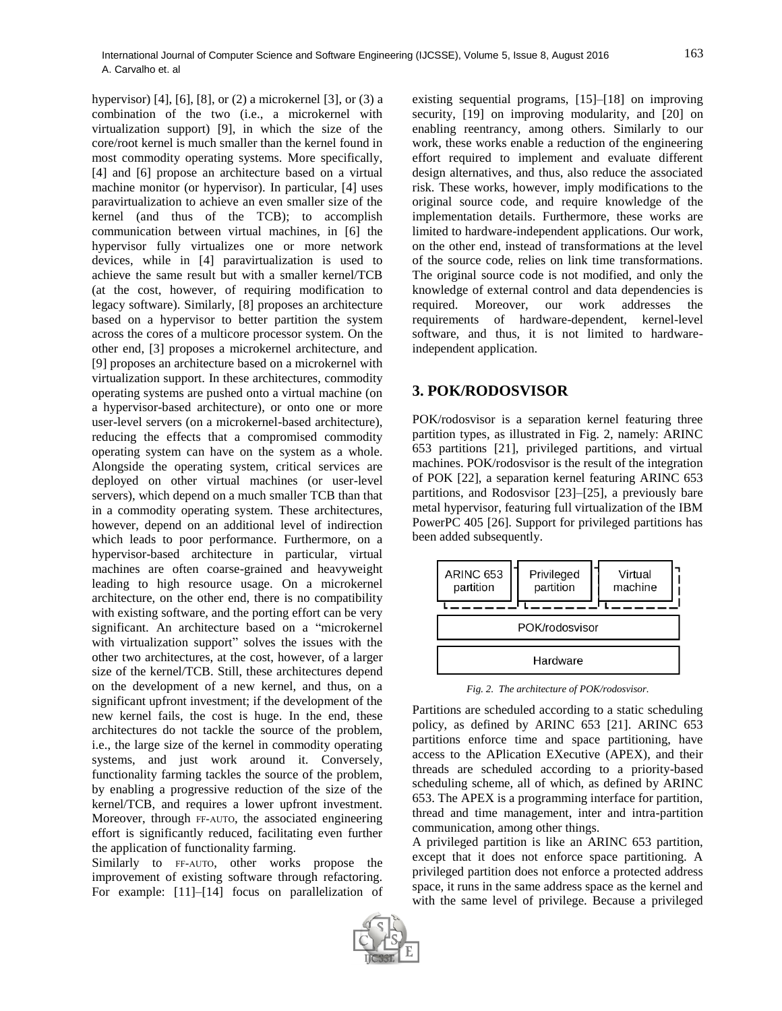hypervisor) [4], [6], [8], or (2) a microkernel [3], or (3) a combination of the two (i.e., a microkernel with virtualization support) [9], in which the size of the core/root kernel is much smaller than the kernel found in most commodity operating systems. More specifically, [4] and [6] propose an architecture based on a virtual machine monitor (or hypervisor). In particular, [4] uses paravirtualization to achieve an even smaller size of the kernel (and thus of the TCB); to accomplish communication between virtual machines, in [6] the hypervisor fully virtualizes one or more network devices, while in [4] paravirtualization is used to achieve the same result but with a smaller kernel/TCB (at the cost, however, of requiring modification to legacy software). Similarly, [8] proposes an architecture based on a hypervisor to better partition the system across the cores of a multicore processor system. On the other end, [3] proposes a microkernel architecture, and [9] proposes an architecture based on a microkernel with virtualization support. In these architectures, commodity operating systems are pushed onto a virtual machine (on a hypervisor-based architecture), or onto one or more user-level servers (on a microkernel-based architecture), reducing the effects that a compromised commodity operating system can have on the system as a whole. Alongside the operating system, critical services are deployed on other virtual machines (or user-level servers), which depend on a much smaller TCB than that in a commodity operating system. These architectures, however, depend on an additional level of indirection which leads to poor performance. Furthermore, on a hypervisor-based architecture in particular, virtual machines are often coarse-grained and heavyweight leading to high resource usage. On a microkernel architecture, on the other end, there is no compatibility with existing software, and the porting effort can be very significant. An architecture based on a "microkernel with virtualization support" solves the issues with the other two architectures, at the cost, however, of a larger size of the kernel/TCB. Still, these architectures depend on the development of a new kernel, and thus, on a significant upfront investment; if the development of the new kernel fails, the cost is huge. In the end, these architectures do not tackle the source of the problem, i.e., the large size of the kernel in commodity operating systems, and just work around it. Conversely, functionality farming tackles the source of the problem, by enabling a progressive reduction of the size of the kernel/TCB, and requires a lower upfront investment. Moreover, through FF-AUTO, the associated engineering effort is significantly reduced, facilitating even further the application of functionality farming.

Similarly to FF-AUTO, other works propose the improvement of existing software through refactoring. For example: [11]–[14] focus on parallelization of existing sequential programs, [15]–[18] on improving security, [19] on improving modularity, and [20] on enabling reentrancy, among others. Similarly to our work, these works enable a reduction of the engineering effort required to implement and evaluate different design alternatives, and thus, also reduce the associated risk. These works, however, imply modifications to the original source code, and require knowledge of the implementation details. Furthermore, these works are limited to hardware-independent applications. Our work, on the other end, instead of transformations at the level of the source code, relies on link time transformations. The original source code is not modified, and only the knowledge of external control and data dependencies is required. Moreover, our work addresses the requirements of hardware-dependent, kernel-level software, and thus, it is not limited to hardwareindependent application.

## **3. POK/RODOSVISOR**

POK/rodosvisor is a separation kernel featuring three partition types, as illustrated in Fig. 2, namely: ARINC 653 partitions [21], privileged partitions, and virtual machines. POK/rodosvisor is the result of the integration of POK [22], a separation kernel featuring ARINC 653 partitions, and Rodosvisor [23]–[25], a previously bare metal hypervisor, featuring full virtualization of the IBM PowerPC 405 [26]. Support for privileged partitions has been added subsequently.



*Fig. 2. The architecture of POK/rodosvisor.*

Partitions are scheduled according to a static scheduling policy, as defined by ARINC 653 [21]. ARINC 653 partitions enforce time and space partitioning, have access to the APlication EXecutive (APEX), and their threads are scheduled according to a priority-based scheduling scheme, all of which, as defined by ARINC 653. The APEX is a programming interface for partition, thread and time management, inter and intra-partition communication, among other things.

A privileged partition is like an ARINC 653 partition, except that it does not enforce space partitioning. A privileged partition does not enforce a protected address space, it runs in the same address space as the kernel and with the same level of privilege. Because a privileged

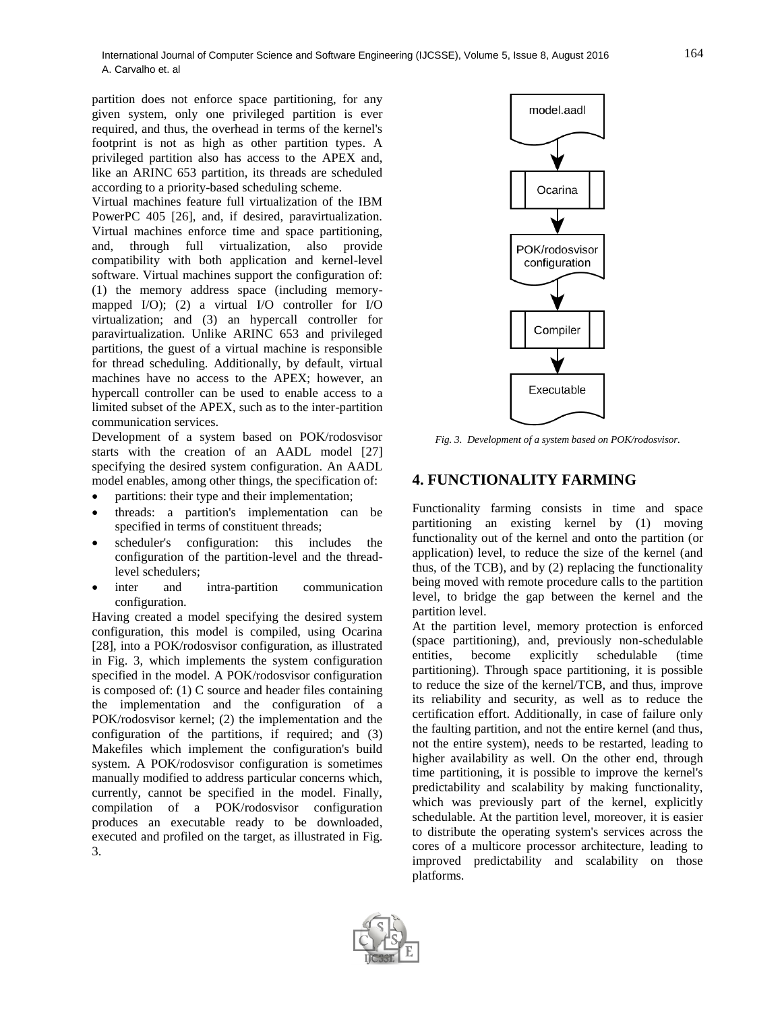partition does not enforce space partitioning, for any given system, only one privileged partition is ever required, and thus, the overhead in terms of the kernel's footprint is not as high as other partition types. A privileged partition also has access to the APEX and, like an ARINC 653 partition, its threads are scheduled according to a priority-based scheduling scheme.

Virtual machines feature full virtualization of the IBM PowerPC 405 [26], and, if desired, paravirtualization. Virtual machines enforce time and space partitioning, and, through full virtualization, also provide compatibility with both application and kernel-level software. Virtual machines support the configuration of: (1) the memory address space (including memorymapped I/O); (2) a virtual I/O controller for I/O virtualization; and (3) an hypercall controller for paravirtualization. Unlike ARINC 653 and privileged partitions, the guest of a virtual machine is responsible for thread scheduling. Additionally, by default, virtual machines have no access to the APEX; however, an hypercall controller can be used to enable access to a limited subset of the APEX, such as to the inter-partition communication services.

Development of a system based on POK/rodosvisor starts with the creation of an AADL model [27] specifying the desired system configuration. An AADL model enables, among other things, the specification of:

- partitions: their type and their implementation;
- threads: a partition's implementation can be specified in terms of constituent threads;
- scheduler's configuration: this includes the configuration of the partition-level and the threadlevel schedulers;
- inter and intra-partition communication configuration.

Having created a model specifying the desired system configuration, this model is compiled, using Ocarina [28], into a POK/rodosvisor configuration, as illustrated in Fig. 3, which implements the system configuration specified in the model. A POK/rodosvisor configuration is composed of: (1) C source and header files containing the implementation and the configuration of a POK/rodosvisor kernel; (2) the implementation and the configuration of the partitions, if required; and (3) Makefiles which implement the configuration's build system. A POK/rodosvisor configuration is sometimes manually modified to address particular concerns which, currently, cannot be specified in the model. Finally, compilation of a POK/rodosvisor configuration produces an executable ready to be downloaded, executed and profiled on the target, as illustrated in Fig. 3.



*Fig. 3. Development of a system based on POK/rodosvisor.*

## **4. FUNCTIONALITY FARMING**

Functionality farming consists in time and space partitioning an existing kernel by (1) moving functionality out of the kernel and onto the partition (or application) level, to reduce the size of the kernel (and thus, of the TCB), and by (2) replacing the functionality being moved with remote procedure calls to the partition level, to bridge the gap between the kernel and the partition level.

At the partition level, memory protection is enforced (space partitioning), and, previously non-schedulable entities, become explicitly schedulable (time partitioning). Through space partitioning, it is possible to reduce the size of the kernel/TCB, and thus, improve its reliability and security, as well as to reduce the certification effort. Additionally, in case of failure only the faulting partition, and not the entire kernel (and thus, not the entire system), needs to be restarted, leading to higher availability as well. On the other end, through time partitioning, it is possible to improve the kernel's predictability and scalability by making functionality, which was previously part of the kernel, explicitly schedulable. At the partition level, moreover, it is easier to distribute the operating system's services across the cores of a multicore processor architecture, leading to improved predictability and scalability on those platforms.

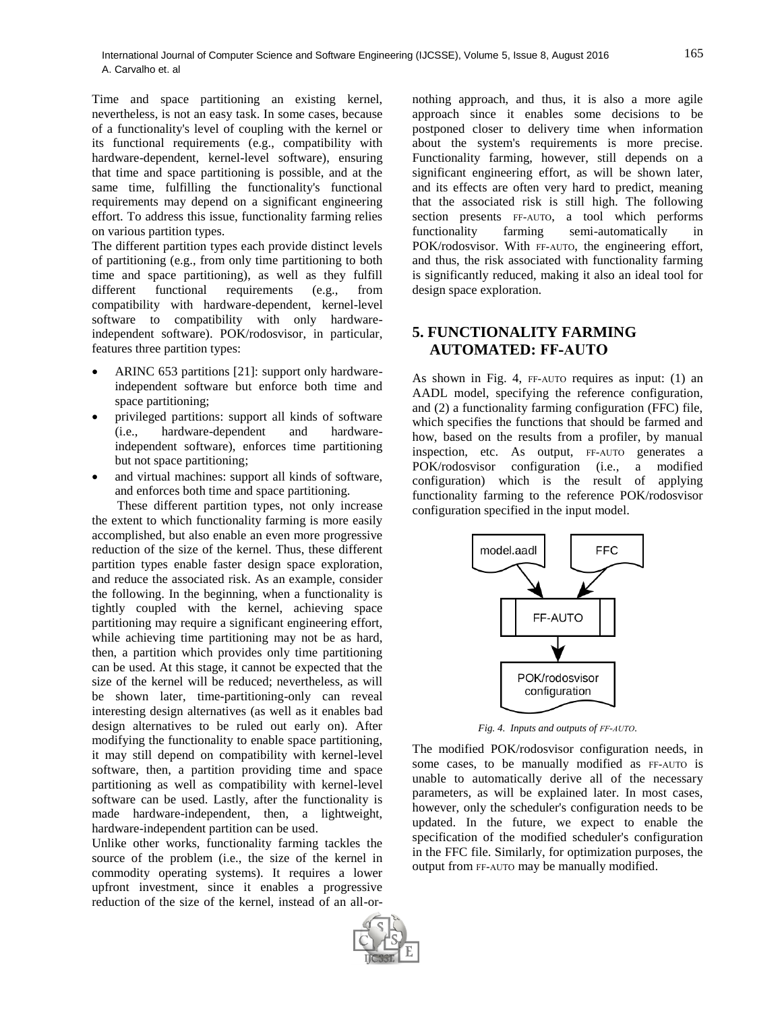Time and space partitioning an existing kernel, nevertheless, is not an easy task. In some cases, because of a functionality's level of coupling with the kernel or its functional requirements (e.g., compatibility with hardware-dependent, kernel-level software), ensuring that time and space partitioning is possible, and at the same time, fulfilling the functionality's functional requirements may depend on a significant engineering effort. To address this issue, functionality farming relies on various partition types.

The different partition types each provide distinct levels of partitioning (e.g., from only time partitioning to both time and space partitioning), as well as they fulfill different functional requirements (e.g., from compatibility with hardware-dependent, kernel-level software to compatibility with only hardwareindependent software). POK/rodosvisor, in particular, features three partition types:

- ARINC 653 partitions [21]: support only hardwareindependent software but enforce both time and space partitioning;
- privileged partitions: support all kinds of software (i.e., hardware-dependent and hardwareindependent software), enforces time partitioning but not space partitioning;
- and virtual machines: support all kinds of software, and enforces both time and space partitioning.

These different partition types, not only increase the extent to which functionality farming is more easily accomplished, but also enable an even more progressive reduction of the size of the kernel. Thus, these different partition types enable faster design space exploration, and reduce the associated risk. As an example, consider the following. In the beginning, when a functionality is tightly coupled with the kernel, achieving space partitioning may require a significant engineering effort, while achieving time partitioning may not be as hard, then, a partition which provides only time partitioning can be used. At this stage, it cannot be expected that the size of the kernel will be reduced; nevertheless, as will be shown later, time-partitioning-only can reveal interesting design alternatives (as well as it enables bad design alternatives to be ruled out early on). After modifying the functionality to enable space partitioning, it may still depend on compatibility with kernel-level software, then, a partition providing time and space partitioning as well as compatibility with kernel-level software can be used. Lastly, after the functionality is made hardware-independent, then, a lightweight, hardware-independent partition can be used.

Unlike other works, functionality farming tackles the source of the problem (i.e., the size of the kernel in commodity operating systems). It requires a lower upfront investment, since it enables a progressive reduction of the size of the kernel, instead of an all-ornothing approach, and thus, it is also a more agile approach since it enables some decisions to be postponed closer to delivery time when information about the system's requirements is more precise. Functionality farming, however, still depends on a significant engineering effort, as will be shown later, and its effects are often very hard to predict, meaning that the associated risk is still high. The following section presents FF-AUTO, a tool which performs functionality farming semi-automatically in POK/rodosvisor. With FF-AUTO, the engineering effort, and thus, the risk associated with functionality farming is significantly reduced, making it also an ideal tool for design space exploration.

# **5. FUNCTIONALITY FARMING AUTOMATED: FF-AUTO**

As shown in Fig. 4, FF-AUTO requires as input: (1) an AADL model, specifying the reference configuration, and (2) a functionality farming configuration (FFC) file, which specifies the functions that should be farmed and how, based on the results from a profiler, by manual inspection, etc. As output, FF-AUTO generates a POK/rodosvisor configuration (i.e., a modified configuration) which is the result of applying functionality farming to the reference POK/rodosvisor configuration specified in the input model.



*Fig. 4. Inputs and outputs of FF-AUTO.*

The modified POK/rodosvisor configuration needs, in some cases, to be manually modified as FF-AUTO is unable to automatically derive all of the necessary parameters, as will be explained later. In most cases, however, only the scheduler's configuration needs to be updated. In the future, we expect to enable the specification of the modified scheduler's configuration in the FFC file. Similarly, for optimization purposes, the output from FF-AUTO may be manually modified.

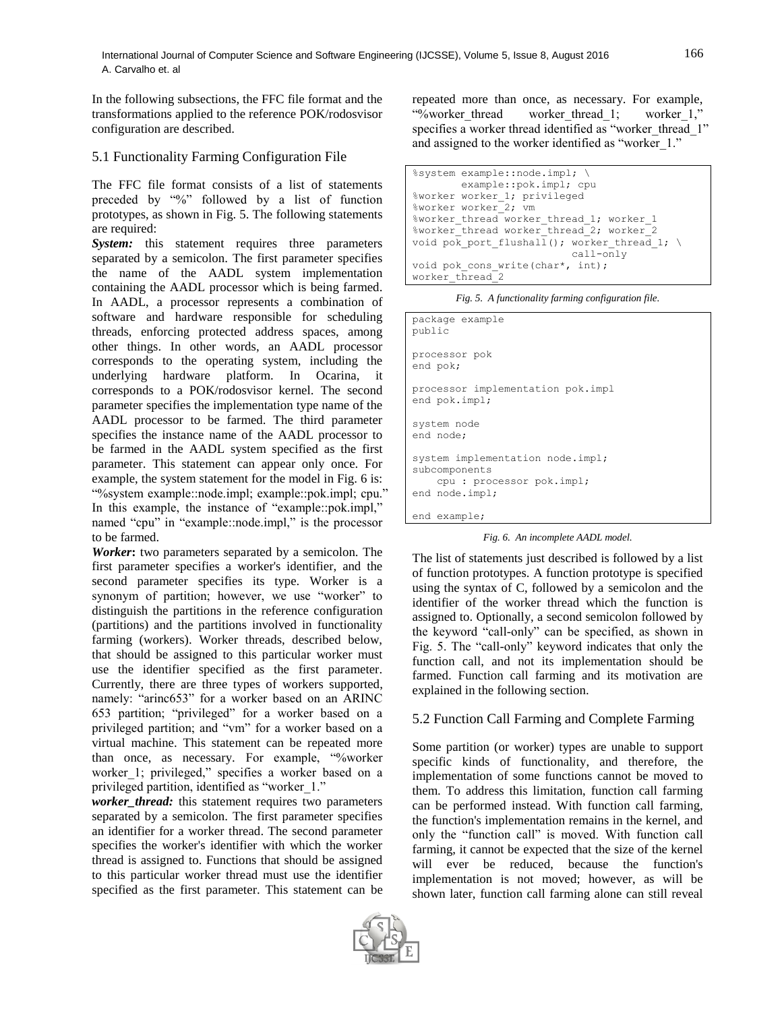In the following subsections, the FFC file format and the transformations applied to the reference POK/rodosvisor configuration are described.

#### 5.1 Functionality Farming Configuration File

The FFC file format consists of a list of statements preceded by "%" followed by a list of function prototypes, as shown in Fig. 5. The following statements are required:

**System:** this statement requires three parameters separated by a semicolon. The first parameter specifies the name of the AADL system implementation containing the AADL processor which is being farmed. In AADL, a processor represents a combination of software and hardware responsible for scheduling threads, enforcing protected address spaces, among other things. In other words, an AADL processor corresponds to the operating system, including the underlying hardware platform. In Ocarina, it corresponds to a POK/rodosvisor kernel. The second parameter specifies the implementation type name of the AADL processor to be farmed. The third parameter specifies the instance name of the AADL processor to be farmed in the AADL system specified as the first parameter. This statement can appear only once. For example, the system statement for the model in Fig. 6 is: "%system example::node.impl; example::pok.impl; cpu." In this example, the instance of "example::pok.impl," named "cpu" in "example::node.impl," is the processor to be farmed.

*Worker***:** two parameters separated by a semicolon. The first parameter specifies a worker's identifier, and the second parameter specifies its type. Worker is a synonym of partition; however, we use "worker" to distinguish the partitions in the reference configuration (partitions) and the partitions involved in functionality farming (workers). Worker threads, described below, that should be assigned to this particular worker must use the identifier specified as the first parameter. Currently, there are three types of workers supported, namely: "arinc653" for a worker based on an ARINC 653 partition; "privileged" for a worker based on a privileged partition; and "vm" for a worker based on a virtual machine. This statement can be repeated more than once, as necessary. For example, "%worker worker\_1; privileged," specifies a worker based on a privileged partition, identified as "worker 1."

*worker\_thread:* this statement requires two parameters separated by a semicolon. The first parameter specifies an identifier for a worker thread. The second parameter specifies the worker's identifier with which the worker thread is assigned to. Functions that should be assigned to this particular worker thread must use the identifier specified as the first parameter. This statement can be

repeated more than once, as necessary. For example, "%worker thread worker thread\_1; worker\_1," specifies a worker thread identified as "worker\_thread\_1" and assigned to the worker identified as "worker 1."

```
%system example::node.impl; \
         example::pok.impl; cpu
%worker worker_1; privileged
%worker worker_2; vm
%worker_thread worker_thread_1; worker_1
%worker_thread worker_thread_2; worker_2
void pok port flushall(); worker thread 1; \
                           call-only
void pok cons write(char*, int);
worker_thread_2
```
*Fig. 5. A functionality farming configuration file.*

| public                                                                                           | package example                                    |
|--------------------------------------------------------------------------------------------------|----------------------------------------------------|
| end pok;                                                                                         | processor pok                                      |
|                                                                                                  | processor implementation pok.impl<br>end pok.impl; |
| system node<br>end node;                                                                         |                                                    |
| system implementation node.impl;<br>subcomponents<br>cpu : processor pok.impl;<br>end node.impl; |                                                    |
|                                                                                                  | end example;                                       |

*Fig. 6. An incomplete AADL model.*

The list of statements just described is followed by a list of function prototypes. A function prototype is specified using the syntax of C, followed by a semicolon and the identifier of the worker thread which the function is assigned to. Optionally, a second semicolon followed by the keyword "call-only" can be specified, as shown in Fig. 5. The "call-only" keyword indicates that only the function call, and not its implementation should be farmed. Function call farming and its motivation are explained in the following section.

## 5.2 Function Call Farming and Complete Farming

Some partition (or worker) types are unable to support specific kinds of functionality, and therefore, the implementation of some functions cannot be moved to them. To address this limitation, function call farming can be performed instead. With function call farming, the function's implementation remains in the kernel, and only the "function call" is moved. With function call farming, it cannot be expected that the size of the kernel will ever be reduced, because the function's implementation is not moved; however, as will be shown later, function call farming alone can still reveal

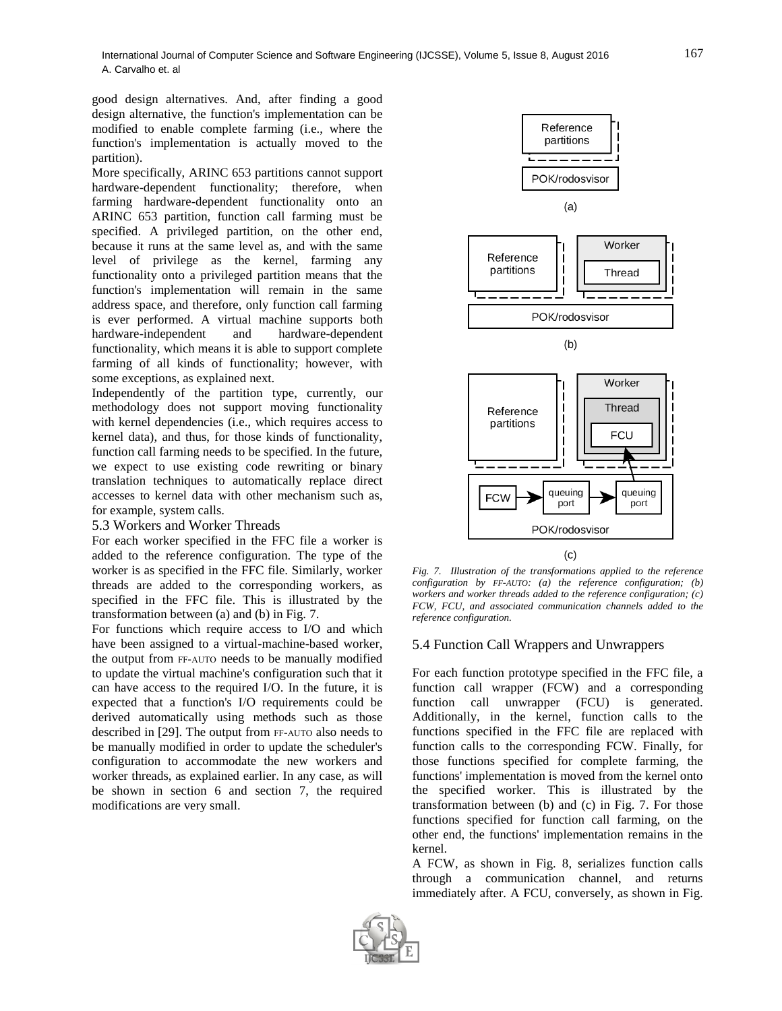good design alternatives. And, after finding a good design alternative, the function's implementation can be modified to enable complete farming (i.e., where the function's implementation is actually moved to the partition).

More specifically, ARINC 653 partitions cannot support hardware-dependent functionality; therefore, when farming hardware-dependent functionality onto an ARINC 653 partition, function call farming must be specified. A privileged partition, on the other end, because it runs at the same level as, and with the same level of privilege as the kernel, farming any functionality onto a privileged partition means that the function's implementation will remain in the same address space, and therefore, only function call farming is ever performed. A virtual machine supports both hardware-independent and hardware-dependent functionality, which means it is able to support complete farming of all kinds of functionality; however, with some exceptions, as explained next.

Independently of the partition type, currently, our methodology does not support moving functionality with kernel dependencies (i.e., which requires access to kernel data), and thus, for those kinds of functionality, function call farming needs to be specified. In the future, we expect to use existing code rewriting or binary translation techniques to automatically replace direct accesses to kernel data with other mechanism such as, for example, system calls.

#### 5.3 Workers and Worker Threads

For each worker specified in the FFC file a worker is added to the reference configuration. The type of the worker is as specified in the FFC file. Similarly, worker threads are added to the corresponding workers, as specified in the FFC file. This is illustrated by the transformation between (a) and (b) in Fig. 7.

For functions which require access to I/O and which have been assigned to a virtual-machine-based worker, the output from FF-AUTO needs to be manually modified to update the virtual machine's configuration such that it can have access to the required I/O. In the future, it is expected that a function's I/O requirements could be derived automatically using methods such as those described in [29]. The output from FF-AUTO also needs to be manually modified in order to update the scheduler's configuration to accommodate the new workers and worker threads, as explained earlier. In any case, as will be shown in section 6 and section 7, the required modifications are very small.



*Fig. 7. Illustration of the transformations applied to the reference configuration by FF-AUTO: (a) the reference configuration; (b) workers and worker threads added to the reference configuration; (c) FCW, FCU, and associated communication channels added to the reference configuration.*

#### 5.4 Function Call Wrappers and Unwrappers

For each function prototype specified in the FFC file, a function call wrapper (FCW) and a corresponding function call unwrapper (FCU) is generated. Additionally, in the kernel, function calls to the functions specified in the FFC file are replaced with function calls to the corresponding FCW. Finally, for those functions specified for complete farming, the functions' implementation is moved from the kernel onto the specified worker. This is illustrated by the transformation between (b) and (c) in Fig. 7. For those functions specified for function call farming, on the other end, the functions' implementation remains in the kernel.

A FCW, as shown in Fig. 8, serializes function calls through a communication channel, and returns immediately after. A FCU, conversely, as shown in Fig.

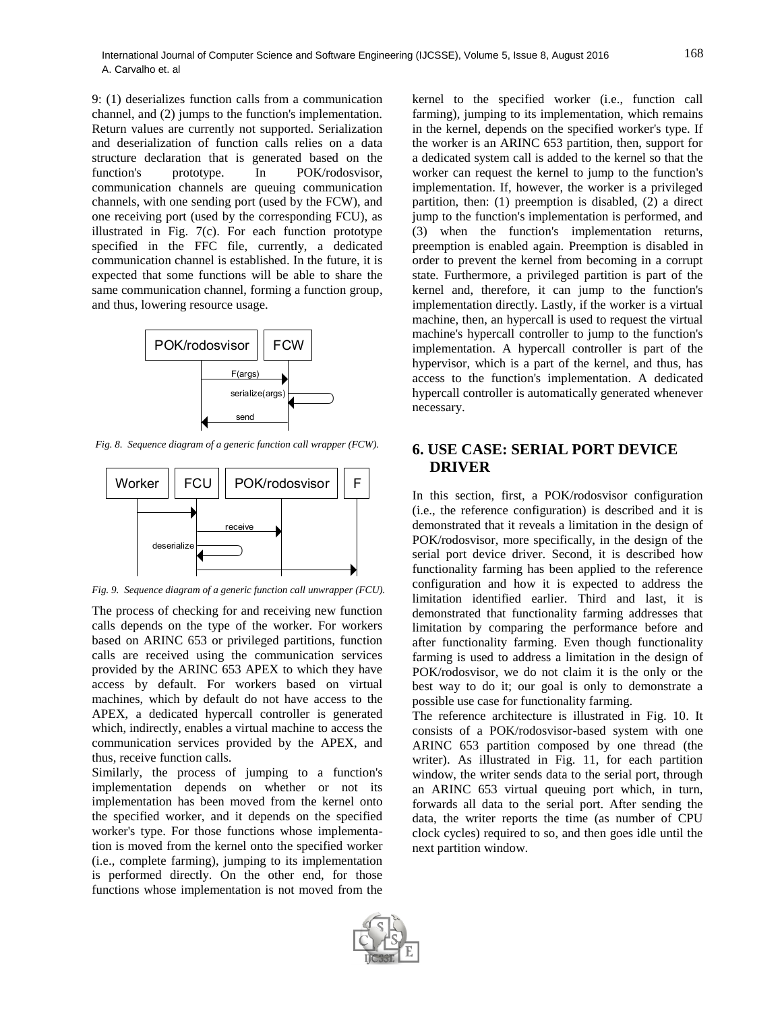9: (1) deserializes function calls from a communication channel, and (2) jumps to the function's implementation. Return values are currently not supported. Serialization and deserialization of function calls relies on a data structure declaration that is generated based on the function's prototype. In POK/rodosvisor, communication channels are queuing communication channels, with one sending port (used by the FCW), and one receiving port (used by the corresponding FCU), as illustrated in Fig. 7(c). For each function prototype specified in the FFC file, currently, a dedicated communication channel is established. In the future, it is expected that some functions will be able to share the same communication channel, forming a function group, and thus, lowering resource usage.



*Fig. 8. Sequence diagram of a generic function call wrapper (FCW).*



*Fig. 9. Sequence diagram of a generic function call unwrapper (FCU).*

The process of checking for and receiving new function calls depends on the type of the worker. For workers based on ARINC 653 or privileged partitions, function calls are received using the communication services provided by the ARINC 653 APEX to which they have access by default. For workers based on virtual machines, which by default do not have access to the APEX, a dedicated hypercall controller is generated which, indirectly, enables a virtual machine to access the communication services provided by the APEX, and thus, receive function calls.

Similarly, the process of jumping to a function's implementation depends on whether or not its implementation has been moved from the kernel onto the specified worker, and it depends on the specified worker's type. For those functions whose implementation is moved from the kernel onto the specified worker (i.e., complete farming), jumping to its implementation is performed directly. On the other end, for those functions whose implementation is not moved from the

kernel to the specified worker (i.e., function call farming), jumping to its implementation, which remains in the kernel, depends on the specified worker's type. If the worker is an ARINC 653 partition, then, support for a dedicated system call is added to the kernel so that the worker can request the kernel to jump to the function's implementation. If, however, the worker is a privileged partition, then: (1) preemption is disabled, (2) a direct jump to the function's implementation is performed, and (3) when the function's implementation returns, preemption is enabled again. Preemption is disabled in order to prevent the kernel from becoming in a corrupt state. Furthermore, a privileged partition is part of the kernel and, therefore, it can jump to the function's implementation directly. Lastly, if the worker is a virtual machine, then, an hypercall is used to request the virtual machine's hypercall controller to jump to the function's implementation. A hypercall controller is part of the hypervisor, which is a part of the kernel, and thus, has access to the function's implementation. A dedicated hypercall controller is automatically generated whenever necessary.

## **6. USE CASE: SERIAL PORT DEVICE DRIVER**

In this section, first, a POK/rodosvisor configuration (i.e., the reference configuration) is described and it is demonstrated that it reveals a limitation in the design of POK/rodosvisor, more specifically, in the design of the serial port device driver. Second, it is described how functionality farming has been applied to the reference configuration and how it is expected to address the limitation identified earlier. Third and last, it is demonstrated that functionality farming addresses that limitation by comparing the performance before and after functionality farming. Even though functionality farming is used to address a limitation in the design of POK/rodosvisor, we do not claim it is the only or the best way to do it; our goal is only to demonstrate a possible use case for functionality farming.

The reference architecture is illustrated in Fig. 10. It consists of a POK/rodosvisor-based system with one ARINC 653 partition composed by one thread (the writer). As illustrated in Fig. 11, for each partition window, the writer sends data to the serial port, through an ARINC 653 virtual queuing port which, in turn, forwards all data to the serial port. After sending the data, the writer reports the time (as number of CPU clock cycles) required to so, and then goes idle until the next partition window.

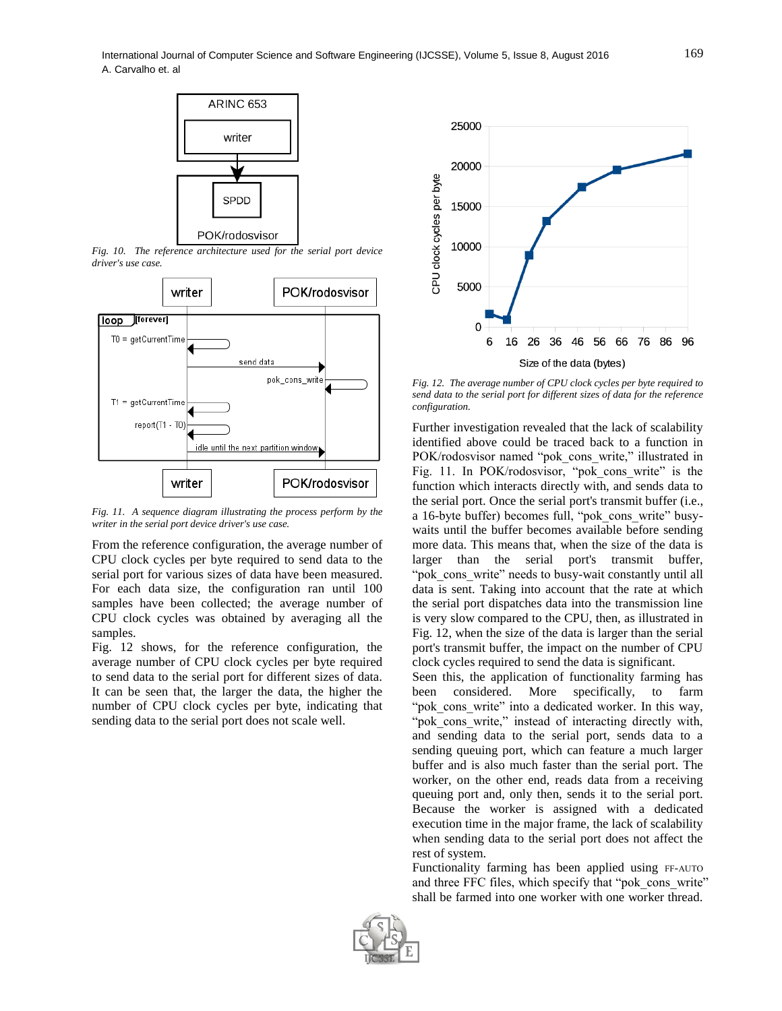

*Fig. 10. The reference architecture used for the serial port device driver's use case.*



*Fig. 11. A sequence diagram illustrating the process perform by the writer in the serial port device driver's use case.*

From the reference configuration, the average number of CPU clock cycles per byte required to send data to the serial port for various sizes of data have been measured. For each data size, the configuration ran until 100 samples have been collected; the average number of CPU clock cycles was obtained by averaging all the samples.

Fig. 12 shows, for the reference configuration, the average number of CPU clock cycles per byte required to send data to the serial port for different sizes of data. It can be seen that, the larger the data, the higher the number of CPU clock cycles per byte, indicating that sending data to the serial port does not scale well.



*Fig. 12. The average number of CPU clock cycles per byte required to send data to the serial port for different sizes of data for the reference configuration.*

Further investigation revealed that the lack of scalability identified above could be traced back to a function in POK/rodosvisor named "pok\_cons\_write," illustrated in Fig. 11. In POK/rodosvisor, "pok\_cons\_write" is the function which interacts directly with, and sends data to the serial port. Once the serial port's transmit buffer (i.e., a 16-byte buffer) becomes full, "pok cons write" busywaits until the buffer becomes available before sending more data. This means that, when the size of the data is larger than the serial port's transmit buffer, "pok\_cons\_write" needs to busy-wait constantly until all data is sent. Taking into account that the rate at which the serial port dispatches data into the transmission line is very slow compared to the CPU, then, as illustrated in Fig. 12, when the size of the data is larger than the serial port's transmit buffer, the impact on the number of CPU clock cycles required to send the data is significant.

Seen this, the application of functionality farming has been considered. More specifically, to farm "pok cons write" into a dedicated worker. In this way, "pok\_cons\_write," instead of interacting directly with, and sending data to the serial port, sends data to a sending queuing port, which can feature a much larger buffer and is also much faster than the serial port. The worker, on the other end, reads data from a receiving queuing port and, only then, sends it to the serial port. Because the worker is assigned with a dedicated execution time in the major frame, the lack of scalability when sending data to the serial port does not affect the rest of system.

Functionality farming has been applied using FF-AUTO and three FFC files, which specify that "pok\_cons\_write" shall be farmed into one worker with one worker thread.

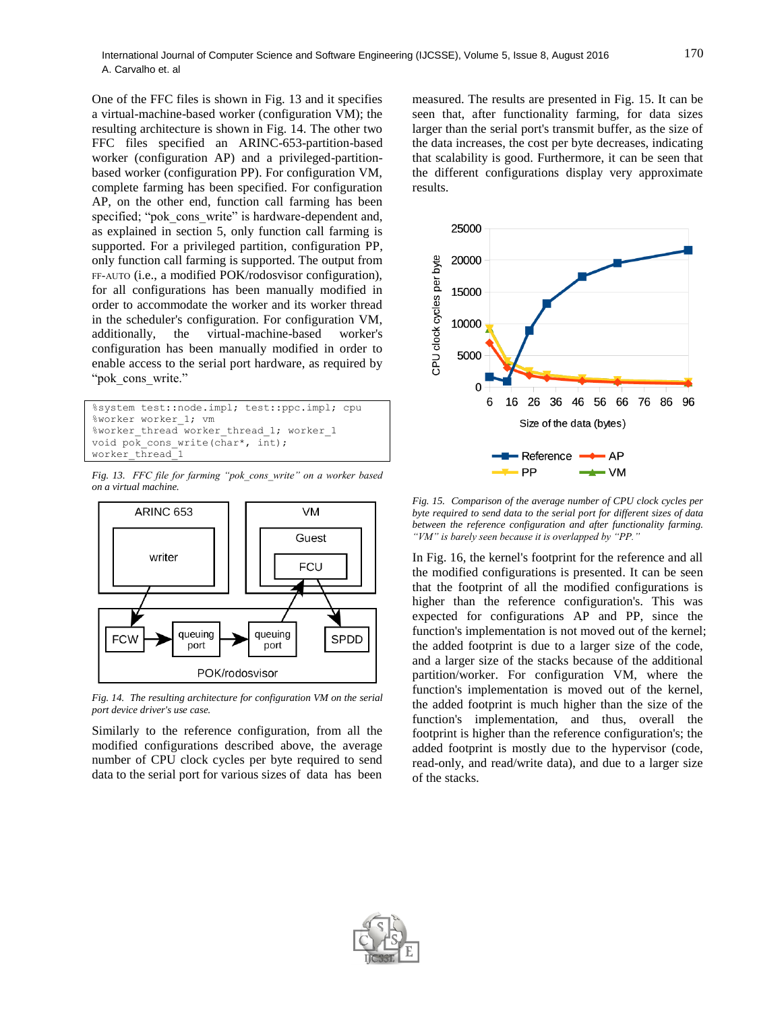One of the FFC files is shown in Fig. 13 and it specifies a virtual-machine-based worker (configuration VM); the resulting architecture is shown in Fig. 14. The other two FFC files specified an ARINC-653-partition-based worker (configuration AP) and a privileged-partitionbased worker (configuration PP). For configuration VM, complete farming has been specified. For configuration AP, on the other end, function call farming has been specified; "pok\_cons\_write" is hardware-dependent and, as explained in section 5, only function call farming is supported. For a privileged partition, configuration PP, only function call farming is supported. The output from FF-AUTO (i.e., a modified POK/rodosvisor configuration), for all configurations has been manually modified in order to accommodate the worker and its worker thread in the scheduler's configuration. For configuration VM, additionally, the virtual-machine-based worker's configuration has been manually modified in order to enable access to the serial port hardware, as required by "pok cons write."

```
%system test::node.impl; test::ppc.impl; cpu
%worker worker_1; vm
%worker_thread worker_thread_1; worker_1
void pok cons write(char*, int);
worker_thread<sup>1</sup>
```
*Fig. 13. FFC file for farming "pok\_cons\_write" on a worker based on a virtual machine.*



*Fig. 14. The resulting architecture for configuration VM on the serial port device driver's use case.*

Similarly to the reference configuration, from all the modified configurations described above, the average number of CPU clock cycles per byte required to send data to the serial port for various sizes of data has been measured. The results are presented in Fig. 15. It can be seen that, after functionality farming, for data sizes larger than the serial port's transmit buffer, as the size of the data increases, the cost per byte decreases, indicating that scalability is good. Furthermore, it can be seen that the different configurations display very approximate results.



*Fig. 15. Comparison of the average number of CPU clock cycles per byte required to send data to the serial port for different sizes of data between the reference configuration and after functionality farming. "VM" is barely seen because it is overlapped by "PP."*

In Fig. 16, the kernel's footprint for the reference and all the modified configurations is presented. It can be seen that the footprint of all the modified configurations is higher than the reference configuration's. This was expected for configurations AP and PP, since the function's implementation is not moved out of the kernel; the added footprint is due to a larger size of the code, and a larger size of the stacks because of the additional partition/worker. For configuration VM, where the function's implementation is moved out of the kernel, the added footprint is much higher than the size of the function's implementation, and thus, overall the footprint is higher than the reference configuration's; the added footprint is mostly due to the hypervisor (code, read-only, and read/write data), and due to a larger size of the stacks.

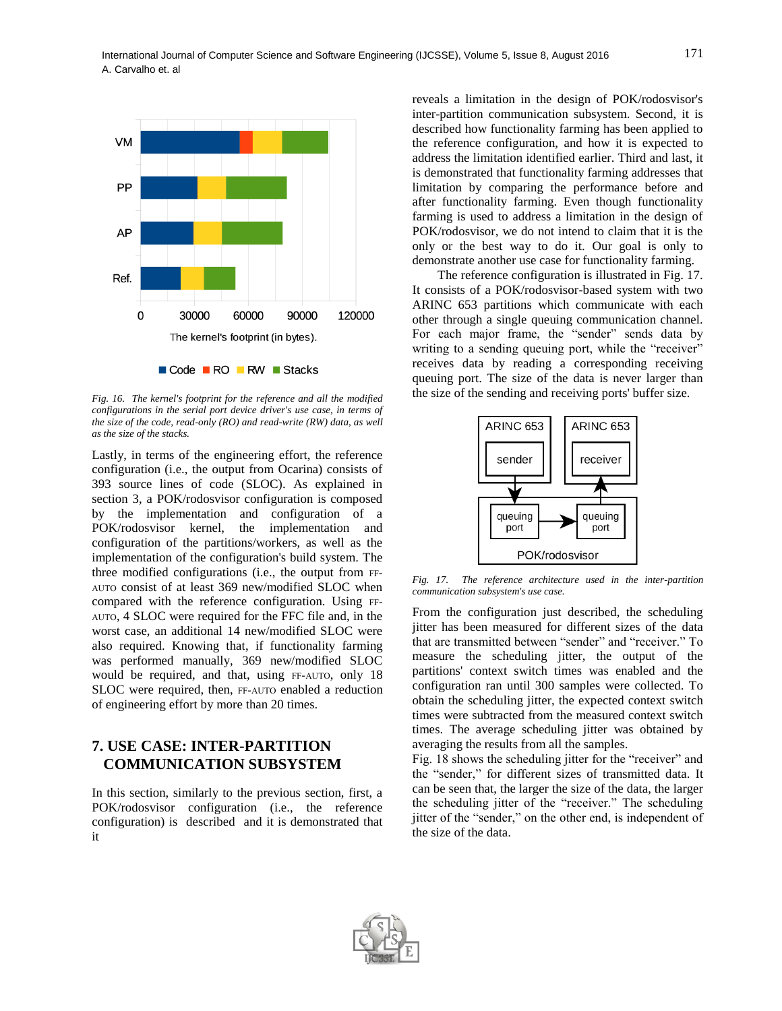

*Fig. 16. The kernel's footprint for the reference and all the modified configurations in the serial port device driver's use case, in terms of the size of the code, read-only (RO) and read-write (RW) data, as well as the size of the stacks.*

Lastly, in terms of the engineering effort, the reference configuration (i.e., the output from Ocarina) consists of 393 source lines of code (SLOC). As explained in section 3, a POK/rodosvisor configuration is composed by the implementation and configuration of a POK/rodosvisor kernel, the implementation and configuration of the partitions/workers, as well as the implementation of the configuration's build system. The three modified configurations (i.e., the output from FF-AUTO consist of at least 369 new/modified SLOC when compared with the reference configuration. Using FF-AUTO, 4 SLOC were required for the FFC file and, in the worst case, an additional 14 new/modified SLOC were also required. Knowing that, if functionality farming was performed manually, 369 new/modified SLOC would be required, and that, using FF-AUTO, only 18 SLOC were required, then, FF-AUTO enabled a reduction of engineering effort by more than 20 times.

## **7. USE CASE: INTER-PARTITION COMMUNICATION SUBSYSTEM**

In this section, similarly to the previous section, first, a POK/rodosvisor configuration (i.e., the reference configuration) is described and it is demonstrated that it

reveals a limitation in the design of POK/rodosvisor's inter-partition communication subsystem. Second, it is described how functionality farming has been applied to the reference configuration, and how it is expected to address the limitation identified earlier. Third and last, it is demonstrated that functionality farming addresses that limitation by comparing the performance before and after functionality farming. Even though functionality farming is used to address a limitation in the design of POK/rodosvisor, we do not intend to claim that it is the only or the best way to do it. Our goal is only to demonstrate another use case for functionality farming.

The reference configuration is illustrated in Fig. 17. It consists of a POK/rodosvisor-based system with two ARINC 653 partitions which communicate with each other through a single queuing communication channel. For each major frame, the "sender" sends data by writing to a sending queuing port, while the "receiver" receives data by reading a corresponding receiving queuing port. The size of the data is never larger than the size of the sending and receiving ports' buffer size.



*Fig. 17. The reference architecture used in the inter-partition communication subsystem's use case.*

From the configuration just described, the scheduling jitter has been measured for different sizes of the data that are transmitted between "sender" and "receiver." To measure the scheduling jitter, the output of the partitions' context switch times was enabled and the configuration ran until 300 samples were collected. To obtain the scheduling jitter, the expected context switch times were subtracted from the measured context switch times. The average scheduling jitter was obtained by averaging the results from all the samples.

Fig. 18 shows the scheduling jitter for the "receiver" and the "sender," for different sizes of transmitted data. It can be seen that, the larger the size of the data, the larger the scheduling jitter of the "receiver." The scheduling jitter of the "sender," on the other end, is independent of the size of the data.

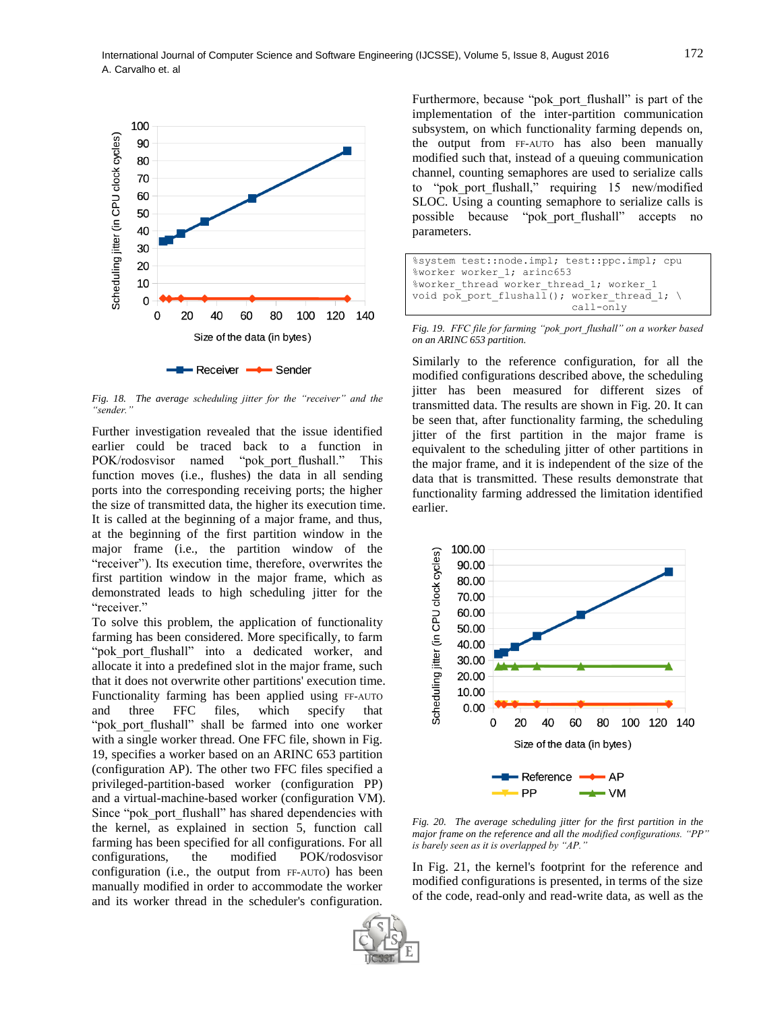

*Fig. 18. The average scheduling jitter for the "receiver" and the "sender."*

Further investigation revealed that the issue identified earlier could be traced back to a function in POK/rodosvisor named "pok\_port\_flushall." This function moves (i.e., flushes) the data in all sending ports into the corresponding receiving ports; the higher the size of transmitted data, the higher its execution time. It is called at the beginning of a major frame, and thus, at the beginning of the first partition window in the major frame (i.e., the partition window of the "receiver"). Its execution time, therefore, overwrites the first partition window in the major frame, which as demonstrated leads to high scheduling jitter for the "receiver."

To solve this problem, the application of functionality farming has been considered. More specifically, to farm "pok port flushall" into a dedicated worker, and allocate it into a predefined slot in the major frame, such that it does not overwrite other partitions' execution time. Functionality farming has been applied using FF-AUTO and three FFC files, which specify that "pok port flushall" shall be farmed into one worker with a single worker thread. One FFC file, shown in Fig. 19, specifies a worker based on an ARINC 653 partition (configuration AP). The other two FFC files specified a privileged-partition-based worker (configuration PP) and a virtual-machine-based worker (configuration VM). Since "pok\_port\_flushall" has shared dependencies with the kernel, as explained in section 5, function call farming has been specified for all configurations. For all configurations, the modified POK/rodosvisor configuration (i.e., the output from FF-AUTO) has been manually modified in order to accommodate the worker and its worker thread in the scheduler's configuration.

Furthermore, because "pok port flushall" is part of the implementation of the inter-partition communication subsystem, on which functionality farming depends on, the output from FF-AUTO has also been manually modified such that, instead of a queuing communication channel, counting semaphores are used to serialize calls to "pok\_port\_flushall," requiring 15 new/modified SLOC. Using a counting semaphore to serialize calls is possible because "pok\_port\_flushall" accepts no parameters.

```
%system test::node.impl; test::ppc.impl; cpu
%worker worker 1; arinc653
%worker thread worker thread 1; worker 1
void pok port flushall(); worker thread 1; \setminus call-only
```
*Fig. 19. FFC file for farming "pok\_port\_flushall" on a worker based on an ARINC 653 partition.*

Similarly to the reference configuration, for all the modified configurations described above, the scheduling jitter has been measured for different sizes of transmitted data. The results are shown in Fig. 20. It can be seen that, after functionality farming, the scheduling jitter of the first partition in the major frame is equivalent to the scheduling jitter of other partitions in the major frame, and it is independent of the size of the data that is transmitted. These results demonstrate that functionality farming addressed the limitation identified earlier.



*Fig. 20. The average scheduling jitter for the first partition in the major frame on the reference and all the modified configurations. "PP" is barely seen as it is overlapped by "AP."*

In Fig. 21, the kernel's footprint for the reference and modified configurations is presented, in terms of the size of the code, read-only and read-write data, as well as the

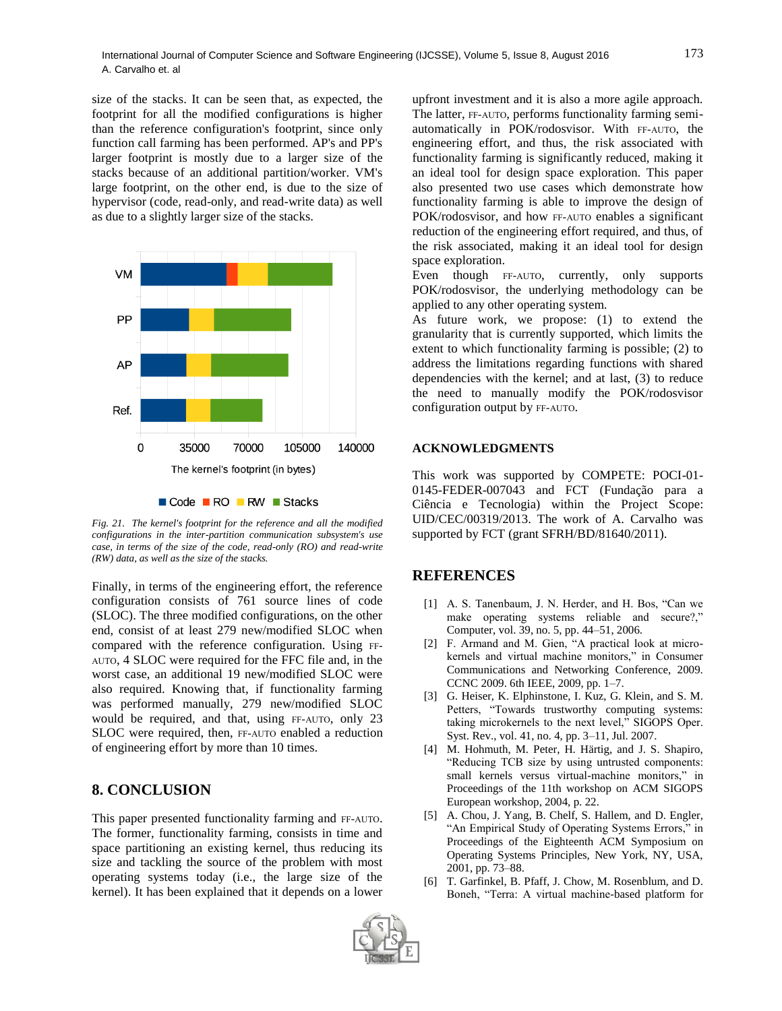size of the stacks. It can be seen that, as expected, the footprint for all the modified configurations is higher than the reference configuration's footprint, since only function call farming has been performed. AP's and PP's larger footprint is mostly due to a larger size of the stacks because of an additional partition/worker. VM's large footprint, on the other end, is due to the size of hypervisor (code, read-only, and read-write data) as well as due to a slightly larger size of the stacks.



Code RO RW Stacks

*Fig. 21. The kernel's footprint for the reference and all the modified configurations in the inter-partition communication subsystem's use case, in terms of the size of the code, read-only (RO) and read-write (RW) data, as well as the size of the stacks.*

Finally, in terms of the engineering effort, the reference configuration consists of 761 source lines of code (SLOC). The three modified configurations, on the other end, consist of at least 279 new/modified SLOC when compared with the reference configuration. Using FF-AUTO, 4 SLOC were required for the FFC file and, in the worst case, an additional 19 new/modified SLOC were also required. Knowing that, if functionality farming was performed manually, 279 new/modified SLOC would be required, and that, using FF-AUTO, only 23 SLOC were required, then, FF-AUTO enabled a reduction of engineering effort by more than 10 times.

## **8. CONCLUSION**

This paper presented functionality farming and FF-AUTO. The former, functionality farming, consists in time and space partitioning an existing kernel, thus reducing its size and tackling the source of the problem with most operating systems today (i.e., the large size of the kernel). It has been explained that it depends on a lower

upfront investment and it is also a more agile approach. The latter, FF-AUTO, performs functionality farming semiautomatically in POK/rodosvisor. With FF-AUTO, the engineering effort, and thus, the risk associated with functionality farming is significantly reduced, making it an ideal tool for design space exploration. This paper also presented two use cases which demonstrate how functionality farming is able to improve the design of POK/rodosvisor, and how FF-AUTO enables a significant reduction of the engineering effort required, and thus, of the risk associated, making it an ideal tool for design space exploration.

Even though FF-AUTO, currently, only supports POK/rodosvisor, the underlying methodology can be applied to any other operating system.

As future work, we propose: (1) to extend the granularity that is currently supported, which limits the extent to which functionality farming is possible; (2) to address the limitations regarding functions with shared dependencies with the kernel; and at last, (3) to reduce the need to manually modify the POK/rodosvisor configuration output by FF-AUTO.

#### **ACKNOWLEDGMENTS**

This work was supported by COMPETE: POCI-01- 0145-FEDER-007043 and FCT (Fundação para a Ciência e Tecnologia) within the Project Scope: UID/CEC/00319/2013. The work of A. Carvalho was supported by FCT (grant SFRH/BD/81640/2011).

## **REFERENCES**

- [1] A. S. Tanenbaum, J. N. Herder, and H. Bos, "Can we make operating systems reliable and secure?," Computer, vol. 39, no. 5, pp. 44–51, 2006.
- [2] F. Armand and M. Gien, "A practical look at microkernels and virtual machine monitors," in Consumer Communications and Networking Conference, 2009. CCNC 2009. 6th IEEE, 2009, pp. 1–7.
- [3] G. Heiser, K. Elphinstone, I. Kuz, G. Klein, and S. M. Petters, "Towards trustworthy computing systems: taking microkernels to the next level," SIGOPS Oper. Syst. Rev., vol. 41, no. 4, pp. 3–11, Jul. 2007.
- [4] M. Hohmuth, M. Peter, H. Härtig, and J. S. Shapiro, "Reducing TCB size by using untrusted components: small kernels versus virtual-machine monitors," in Proceedings of the 11th workshop on ACM SIGOPS European workshop, 2004, p. 22.
- [5] A. Chou, J. Yang, B. Chelf, S. Hallem, and D. Engler, "An Empirical Study of Operating Systems Errors," in Proceedings of the Eighteenth ACM Symposium on Operating Systems Principles, New York, NY, USA, 2001, pp. 73–88.
- [6] T. Garfinkel, B. Pfaff, J. Chow, M. Rosenblum, and D. Boneh, "Terra: A virtual machine-based platform for